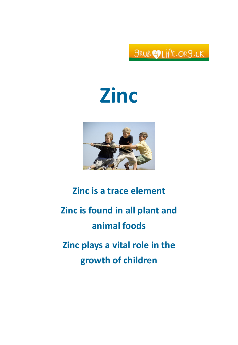SRUB OLIFE.OR9.UK

# Zinc



# Zinc is a trace element Zinc is found in all plant and animal foods Zinc plays a vital role in the growth of children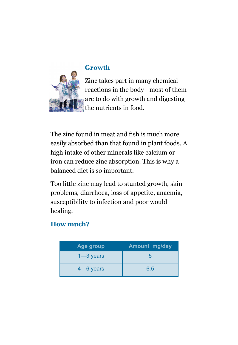

#### Growth

Zinc takes part in many chemical reactions in the body—most of them are to do with growth and digesting the nutrients in food.

The zinc found in meat and fish is much more easily absorbed than that found in plant foods. A high intake of other minerals like calcium or iron can reduce zinc absorption. This is why a balanced diet is so important.

Too little zinc may lead to stunted growth, skin problems, diarrhoea, loss of appetite, anaemia, susceptibility to infection and poor would healing.

# How much?

| Age group     | <b>Amount mg/day</b> |
|---------------|----------------------|
| $1 - 3$ years | h                    |
| $4 - 6$ years | 6.5                  |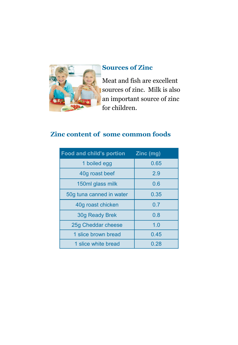

### Sources of Zinc

Meat and fish are excellent sources of zinc. Milk is also an important source of zinc for children.

# Zinc content of some common foods

| Food and child's portion | Zinc (mg) |
|--------------------------|-----------|
| 1 boiled egg             | 0.65      |
| 40g roast beef           | 2.9       |
| 150ml glass milk         | 0.6       |
| 50g tuna canned in water | 0.35      |
| 40g roast chicken        | 0.7       |
| 30g Ready Brek           | 0.8       |
| 25g Cheddar cheese       | 1.0       |
| 1 slice brown bread      | 0.45      |
| 1 slice white bread      | 0.28      |